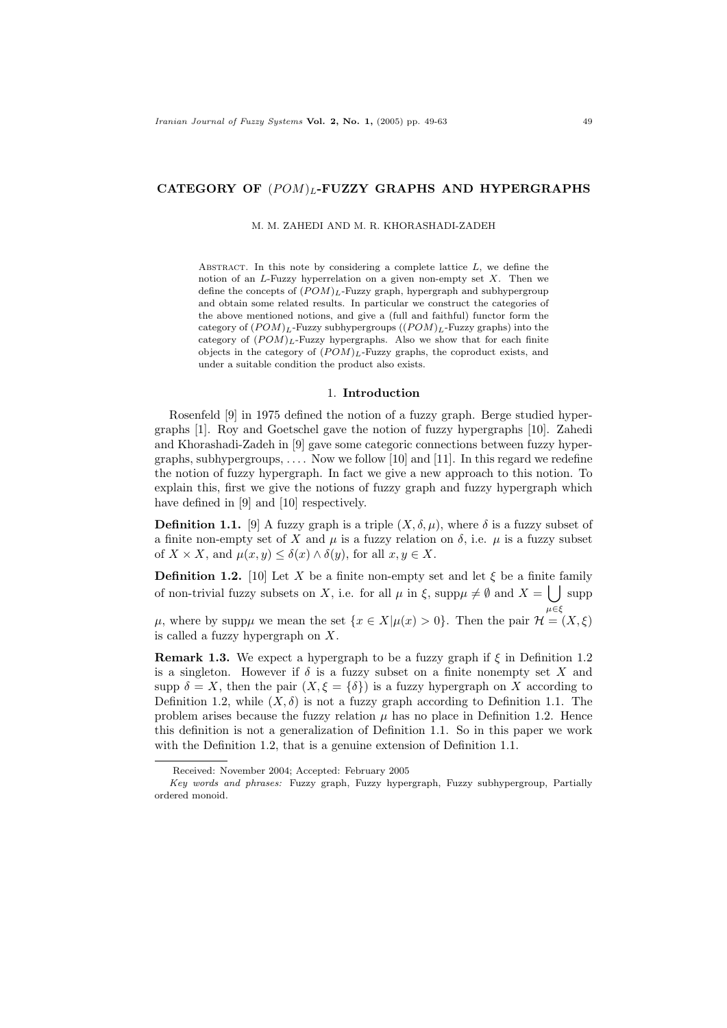## CATEGORY OF  $(POM)_L$ -FUZZY GRAPHS AND HYPERGRAPHS

### M. M. ZAHEDI AND M. R. KHORASHADI-ZADEH

ABSTRACT. In this note by considering a complete lattice  $L$ , we define the notion of an  $L$ -Fuzzy hyperrelation on a given non-empty set  $X$ . Then we define the concepts of  $(POM)_L$ -Fuzzy graph, hypergraph and subhypergroup and obtain some related results. In particular we construct the categories of the above mentioned notions, and give a (full and faithful) functor form the category of  $(POM)_L$ -Fuzzy subhypergroups  $((POM)_L$ -Fuzzy graphs) into the category of  $(POM)_L$ -Fuzzy hypergraphs. Also we show that for each finite objects in the category of  $(POM)_L$ -Fuzzy graphs, the coproduct exists, and under a suitable condition the product also exists.

## 1. Introduction

Rosenfeld [9] in 1975 defined the notion of a fuzzy graph. Berge studied hypergraphs [1]. Roy and Goetschel gave the notion of fuzzy hypergraphs [10]. Zahedi and Khorashadi-Zadeh in [9] gave some categoric connections between fuzzy hypergraphs, subhypergroups,  $\dots$ . Now we follow [10] and [11]. In this regard we redefine the notion of fuzzy hypergraph. In fact we give a new approach to this notion. To explain this, first we give the notions of fuzzy graph and fuzzy hypergraph which have defined in [9] and [10] respectively.

**Definition 1.1.** [9] A fuzzy graph is a triple  $(X, \delta, \mu)$ , where  $\delta$  is a fuzzy subset of a finite non-empty set of X and  $\mu$  is a fuzzy relation on  $\delta$ , i.e.  $\mu$  is a fuzzy subset of  $X \times X$ , and  $\mu(x, y) \leq \delta(x) \wedge \delta(y)$ , for all  $x, y \in X$ .

**Definition 1.2.** [10] Let X be a finite non-empty set and let  $\xi$  be a finite family of non-trivial fuzzy subsets on X, i.e. for all  $\mu$  in  $\xi$ , supp $\mu \neq \emptyset$  and  $X = \begin{bmatrix} 1 \\ 0 \end{bmatrix}$  supp

 $\mu$ , where by supp $\mu$  we mean the set  $\{x \in X | \mu(x) > 0\}$ . Then the pair  $\mathcal{H} = (X, \xi)$ is called a fuzzy hypergraph on X.

**Remark 1.3.** We expect a hypergraph to be a fuzzy graph if  $\xi$  in Definition 1.2 is a singleton. However if  $\delta$  is a fuzzy subset on a finite nonempty set X and supp  $\delta = X$ , then the pair  $(X, \xi = {\delta})$  is a fuzzy hypergraph on X according to Definition 1.2, while  $(X, \delta)$  is not a fuzzy graph according to Definition 1.1. The problem arises because the fuzzy relation  $\mu$  has no place in Definition 1.2. Hence this definition is not a generalization of Definition 1.1. So in this paper we work with the Definition 1.2, that is a genuine extension of Definition 1.1.

 $\mu \in \xi$ 

Received: November 2004; Accepted: February 2005

Key words and phrases: Fuzzy graph, Fuzzy hypergraph, Fuzzy subhypergroup, Partially ordered monoid.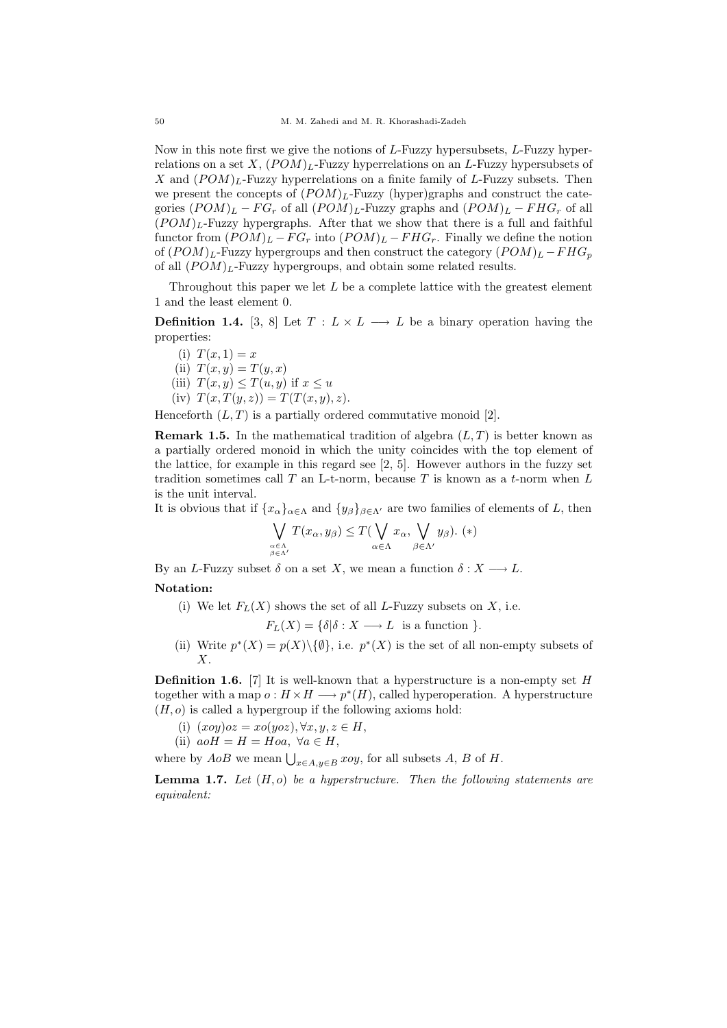Now in this note first we give the notions of L-Fuzzy hypersubsets, L-Fuzzy hyperrelations on a set  $X$ ,  $(POM)$ <sub>L</sub>-Fuzzy hyperrelations on an L-Fuzzy hypersubsets of X and  $(POM)_L$ -Fuzzy hyperrelations on a finite family of L-Fuzzy subsets. Then we present the concepts of  $(POM)_L$ -Fuzzy (hyper)graphs and construct the categories  $(POM)_L - FG_r$  of all  $(POM)_L$ -Fuzzy graphs and  $(POM)_L - FHG_r$  of all  $(POM)_L$ -Fuzzy hypergraphs. After that we show that there is a full and faithful functor from  $(POM)_L - FG_r$  into  $(POM)_L - FHG_r$ . Finally we define the notion of  $(POM)_L$ -Fuzzy hypergroups and then construct the category  $(POM)_L - FHG_p$ of all  $(POM)_L$ -Fuzzy hypergroups, and obtain some related results.

Throughout this paper we let  $L$  be a complete lattice with the greatest element 1 and the least element 0.

**Definition 1.4.** [3, 8] Let  $T: L \times L \longrightarrow L$  be a binary operation having the properties:

- (i)  $T(x, 1) = x$
- (ii)  $T(x, y) = T(y, x)$
- (iii)  $T(x, y) \leq T(u, y)$  if  $x \leq u$
- (iv)  $T(x, T(y, z)) = T(T(x, y), z)$ .

Henceforth  $(L, T)$  is a partially ordered commutative monoid [2].

**Remark 1.5.** In the mathematical tradition of algebra  $(L, T)$  is better known as a partially ordered monoid in which the unity coincides with the top element of the lattice, for example in this regard see [2, 5]. However authors in the fuzzy set tradition sometimes call T an L-t-norm, because T is known as a t-norm when  $L$ is the unit interval.

It is obvious that if  $\{x_\alpha\}_{\alpha\in\Lambda}$  and  $\{y_\beta\}_{\beta\in\Lambda'}$  are two families of elements of L, then

$$
\bigvee_{\substack{\alpha \in \Lambda \\ \beta \in \Lambda'}} T(x_{\alpha}, y_{\beta}) \le T(\bigvee_{\alpha \in \Lambda} x_{\alpha}, \bigvee_{\beta \in \Lambda'} y_{\beta}). (*)
$$

By an L-Fuzzy subset  $\delta$  on a set X, we mean a function  $\delta: X \longrightarrow L$ .

## Notation:

(i) We let  $F<sub>L</sub>(X)$  shows the set of all L-Fuzzy subsets on X, i.e.

 $F_L(X) = \{ \delta | \delta : X \longrightarrow L \text{ is a function } \}.$ 

(ii) Write  $p^*(X) = p(X) \setminus \{\emptyset\}$ , i.e.  $p^*(X)$  is the set of all non-empty subsets of X.

**Definition 1.6.** [7] It is well-known that a hyperstructure is a non-empty set H together with a map  $o: H \times H \longrightarrow p^*(H)$ , called hyperoperation. A hyperstructure  $(H, o)$  is called a hypergroup if the following axioms hold:

- (i)  $(xoy)oz = xo(yoz), \forall x, y, z \in H$ ,
- (ii)  $aoH = H = Hoa, \ \forall a \in H,$

where by  $AoB$  we mean  $\bigcup_{x \in A, y \in B} xoy$ , for all subsets  $A, B$  of  $H$ .

**Lemma 1.7.** Let  $(H, o)$  be a hyperstructure. Then the following statements are equivalent: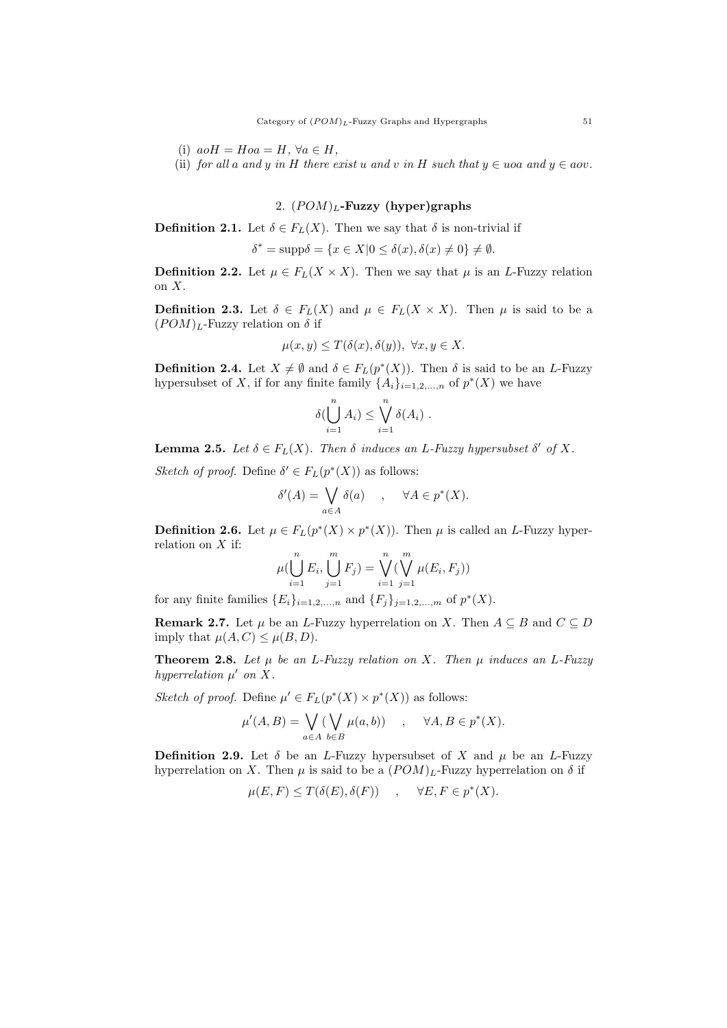- (i)  $aoH = Hoa = H$ ,  $\forall a \in H$ ,
- (ii) for all a and y in H there exist u and v in H such that  $y \in u$  oa and  $y \in a$ ov.

# 2.  $(POM)_L$ -Fuzzy (hyper)graphs

**Definition 2.1.** Let  $\delta \in F_L(X)$ . Then we say that  $\delta$  is non-trivial if

$$
\delta^* = \text{supp}\delta = \{x \in X | 0 \le \delta(x), \delta(x) \ne 0\} \ne \emptyset.
$$

**Definition 2.2.** Let  $\mu \in F_L(X \times X)$ . Then we say that  $\mu$  is an *L*-Fuzzy relation on X.

**Definition 2.3.** Let  $\delta \in F_L(X)$  and  $\mu \in F_L(X \times X)$ . Then  $\mu$  is said to be a  $(POM)_L$ -Fuzzy relation on  $\delta$  if

$$
\mu(x, y) \le T(\delta(x), \delta(y)), \ \forall x, y \in X.
$$

**Definition 2.4.** Let  $X \neq \emptyset$  and  $\delta \in F_L(p^*(X))$ . Then  $\delta$  is said to be an L-Fuzzy hypersubset of X, if for any finite family  $\{A_i\}_{i=1,2,\ldots,n}$  of  $p^*(X)$  we have

$$
\delta(\bigcup_{i=1}^n A_i) \leq \bigvee_{i=1}^n \delta(A_i) .
$$

**Lemma 2.5.** Let  $\delta \in F_L(X)$ . Then  $\delta$  induces an L-Fuzzy hypersubset  $\delta'$  of X.

Sketch of proof. Define  $\delta' \in F_L(p^*(X))$  as follows:

$$
\delta'(A) = \bigvee_{a \in A} \delta(a) \quad , \quad \forall A \in p^*(X).
$$

**Definition 2.6.** Let  $\mu \in F_L(p^*(X) \times p^*(X))$ . Then  $\mu$  is called an *L*-Fuzzy hyperrelation on  $X$  if:

$$
\mu(\bigcup_{i=1}^{n} E_i, \bigcup_{j=1}^{m} F_j) = \bigvee_{i=1}^{n} (\bigvee_{j=1}^{m} \mu(E_i, F_j))
$$

for any finite families  ${E_i}_{i=1,2,...,n}$  and  ${F_j}_{j=1,2,...,m}$  of  $p^*(X)$ .

**Remark 2.7.** Let  $\mu$  be an L-Fuzzy hyperrelation on X. Then  $A \subseteq B$  and  $C \subseteq D$ imply that  $\mu(A, C) \leq \mu(B, D)$ .

**Theorem 2.8.** Let  $\mu$  be an L-Fuzzy relation on X. Then  $\mu$  induces an L-Fuzzy hyperrelation  $\mu'$  on X.

Sketch of proof. Define  $\mu' \in F_L(p^*(X) \times p^*(X))$  as follows:

$$
\mu'(A, B) = \bigvee_{a \in A} (\bigvee_{b \in B} \mu(a, b)) \quad , \quad \forall A, B \in p^*(X).
$$

**Definition 2.9.** Let  $\delta$  be an L-Fuzzy hypersubset of X and  $\mu$  be an L-Fuzzy hyperrelation on X. Then  $\mu$  is said to be a  $(POM)_L$ -Fuzzy hyperrelation on  $\delta$  if

$$
\mu(E, F) \le T(\delta(E), \delta(F)) \quad , \quad \forall E, F \in p^*(X).
$$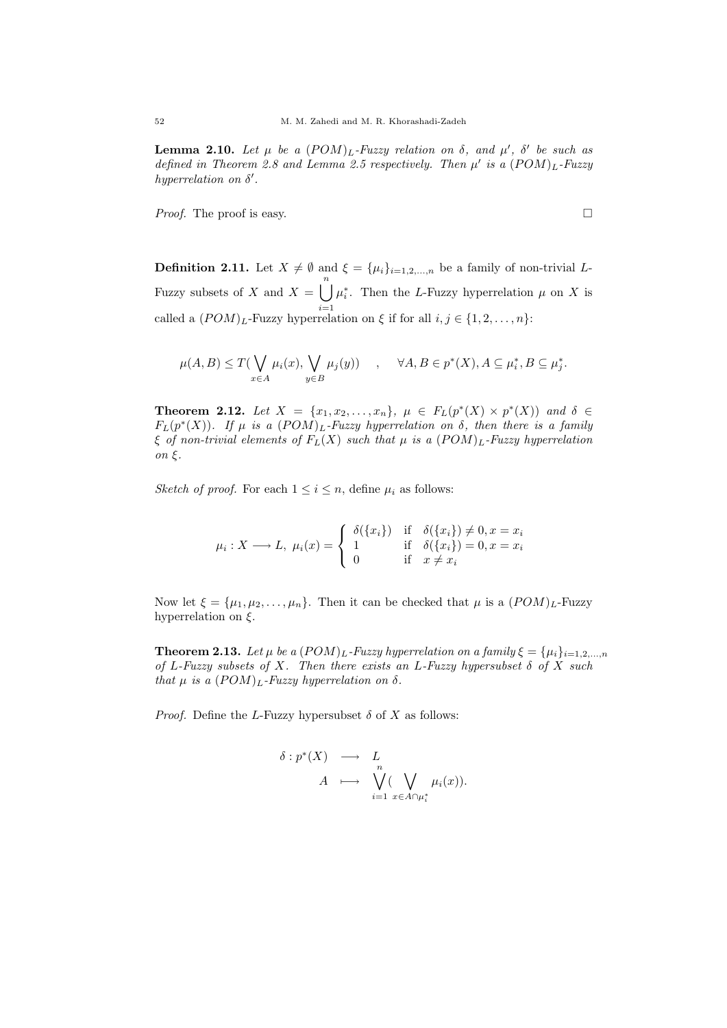**Lemma 2.10.** Let  $\mu$  be a  $(POM)_L$ -Fuzzy relation on  $\delta$ , and  $\mu'$ ,  $\delta'$  be such as defined in Theorem 2.8 and Lemma 2.5 respectively. Then  $\mu'$  is a  $(POM)_L$ -Fuzzy hyperrelation on  $\delta'$ .

*Proof.* The proof is easy.

**Definition 2.11.** Let  $X \neq \emptyset$  and  $\xi = {\mu_i}_{i=1,2,...,n}$  be a family of non-trivial L-Fuzzy subsets of X and  $X = \begin{bmatrix} n \\ n \end{bmatrix}$  $i=1$  $\mu_i^*$ . Then the L-Fuzzy hyperrelation  $\mu$  on X is called a  $(POM)_L$ -Fuzzy hyperrelation on  $\xi$  if for all  $i, j \in \{1, 2, ..., n\}$ :

$$
\mu(A, B) \le T(\bigvee_{x \in A} \mu_i(x), \bigvee_{y \in B} \mu_j(y)) \quad , \quad \forall A, B \in p^*(X), A \subseteq \mu_i^*, B \subseteq \mu_j^*.
$$

**Theorem 2.12.** Let  $X = \{x_1, x_2, ..., x_n\}$ ,  $\mu \in F_L(p^*(X) \times p^*(X))$  and  $\delta \in$  $F_L(p^*(X))$ . If  $\mu$  is a  $(POM)_L$ -Fuzzy hyperrelation on  $\delta$ , then there is a family  $\xi$  of non-trivial elements of  $F_L(X)$  such that  $\mu$  is a  $(POM)_L$ -Fuzzy hyperrelation on ξ.

Sketch of proof. For each  $1 \leq i \leq n$ , define  $\mu_i$  as follows:

$$
\mu_i: X \longrightarrow L, \ \mu_i(x) = \begin{cases} \delta(\{x_i\}) & \text{if } \delta(\{x_i\}) \neq 0, x = x_i \\ 1 & \text{if } \delta(\{x_i\}) = 0, x = x_i \\ 0 & \text{if } x \neq x_i \end{cases}
$$

Now let  $\xi = {\mu_1, \mu_2, \ldots, \mu_n}$ . Then it can be checked that  $\mu$  is a  $(POM)_L$ -Fuzzy hyperrelation on  $\xi$ .

**Theorem 2.13.** Let  $\mu$  be a  $(POM)_L$ -Fuzzy hyperrelation on a family  $\xi = {\mu_i}_{i=1,2,...,n}$ of L-Fuzzy subsets of X. Then there exists an L-Fuzzy hypersubset  $\delta$  of X such that  $\mu$  is a  $(POM)_L$ -Fuzzy hyperrelation on  $\delta$ .

*Proof.* Define the L-Fuzzy hypersubset  $\delta$  of X as follows:

$$
\delta: p^*(X) \longrightarrow L
$$
  

$$
A \longmapsto \bigvee_{i=1}^n (\bigvee_{x \in A \cap \mu_i^*} \mu_i(x)).
$$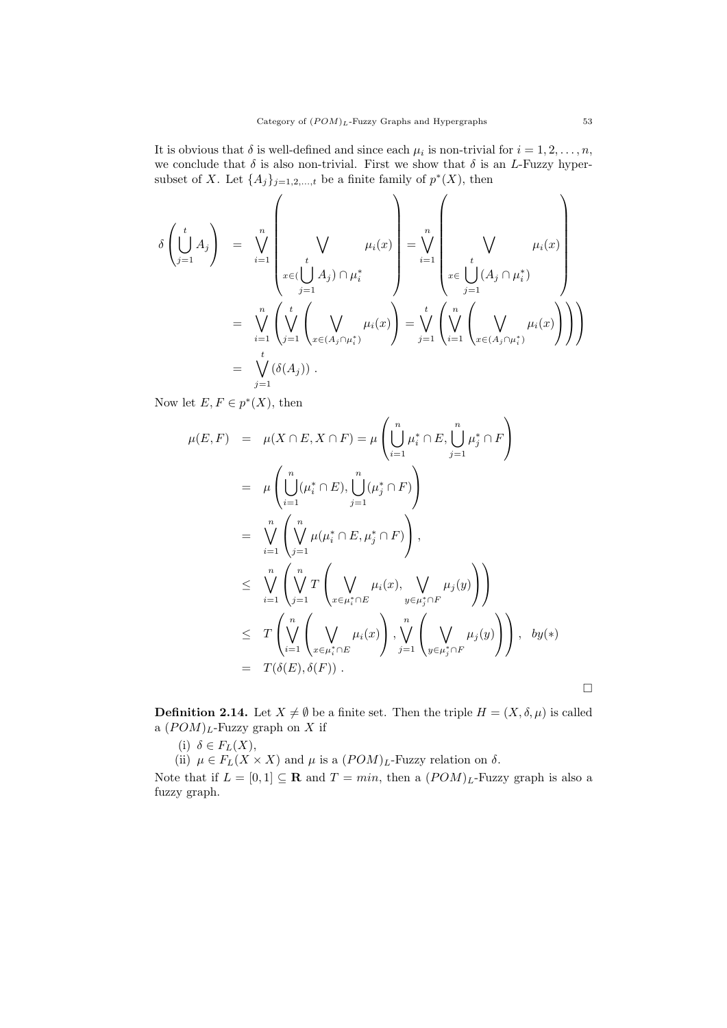It is obvious that  $\delta$  is well-defined and since each  $\mu_i$  is non-trivial for  $i = 1, 2, \ldots, n$ , we conclude that  $\delta$  is also non-trivial. First we show that  $\delta$  is an L-Fuzzy hypersubset of X. Let  $\{A_j\}_{j=1,2,\dots,t}$  be a finite family of  $p^*(X)$ , then

$$
\delta\left(\bigcup_{j=1}^{t} A_{j}\right) = \bigvee_{i=1}^{n} \left(\bigvee_{x \in (\bigcup_{j=1}^{t} A_{j}) \cap \mu_{i}^{*}} \mu_{i}(x)\right) = \bigvee_{i=1}^{n} \left(\bigvee_{x \in (\bigcup_{j=1}^{t} A_{j}) \cap \mu_{i}^{*}} \mu_{i}(x)\right)
$$
\n
$$
= \bigvee_{i=1}^{n} \left(\bigvee_{j=1}^{t} \left(\bigvee_{x \in (A_{j} \cap \mu_{i}^{*})} \mu_{i}(x)\right) = \bigvee_{j=1}^{t} \left(\bigvee_{i=1}^{n} \left(\bigvee_{x \in (A_{j} \cap \mu_{i}^{*})} \mu_{i}(x)\right)\right)\right)
$$
\n
$$
= \bigvee_{j=1}^{t} (\delta(A_{j})) .
$$

Now let  $E, F \in p^*(X)$ , then

$$
\mu(E, F) = \mu(X \cap E, X \cap F) = \mu\left(\bigcup_{i=1}^{n} \mu_i^* \cap E, \bigcup_{j=1}^{n} \mu_j^* \cap F\right)
$$
  
\n
$$
= \mu\left(\bigcup_{i=1}^{n} (\mu_i^* \cap E), \bigcup_{j=1}^{n} (\mu_j^* \cap F)\right)
$$
  
\n
$$
= \bigvee_{i=1}^{n} \left(\bigvee_{j=1}^{n} \mu(\mu_i^* \cap E, \mu_j^* \cap F)\right),
$$
  
\n
$$
\leq \bigvee_{i=1}^{n} \left(\bigvee_{j=1}^{n} T\left(\bigvee_{x \in \mu_i^* \cap E} \mu_i(x), \bigvee_{y \in \mu_j^* \cap F} \mu_j(y)\right)\right)
$$
  
\n
$$
\leq T\left(\bigvee_{i=1}^{n} \left(\bigvee_{x \in \mu_i^* \cap E} \mu_i(x)\right), \bigvee_{j=1}^{n} \left(\bigvee_{y \in \mu_j^* \cap F} \mu_j(y)\right)\right), \quad by (*)
$$
  
\n
$$
= T(\delta(E), \delta(F)).
$$

**Definition 2.14.** Let  $X \neq \emptyset$  be a finite set. Then the triple  $H = (X, \delta, \mu)$  is called a  $(POM)_L$ -Fuzzy graph on X if

(i)  $\delta \in F_L(X)$ ,

(ii)  $\mu \in F_L(X \times X)$  and  $\mu$  is a  $(POM)_L$ -Fuzzy relation on  $\delta$ .

Note that if  $L = [0, 1] \subseteq \mathbf{R}$  and  $T = min$ , then a  $(POM)_L$ -Fuzzy graph is also a fuzzy graph.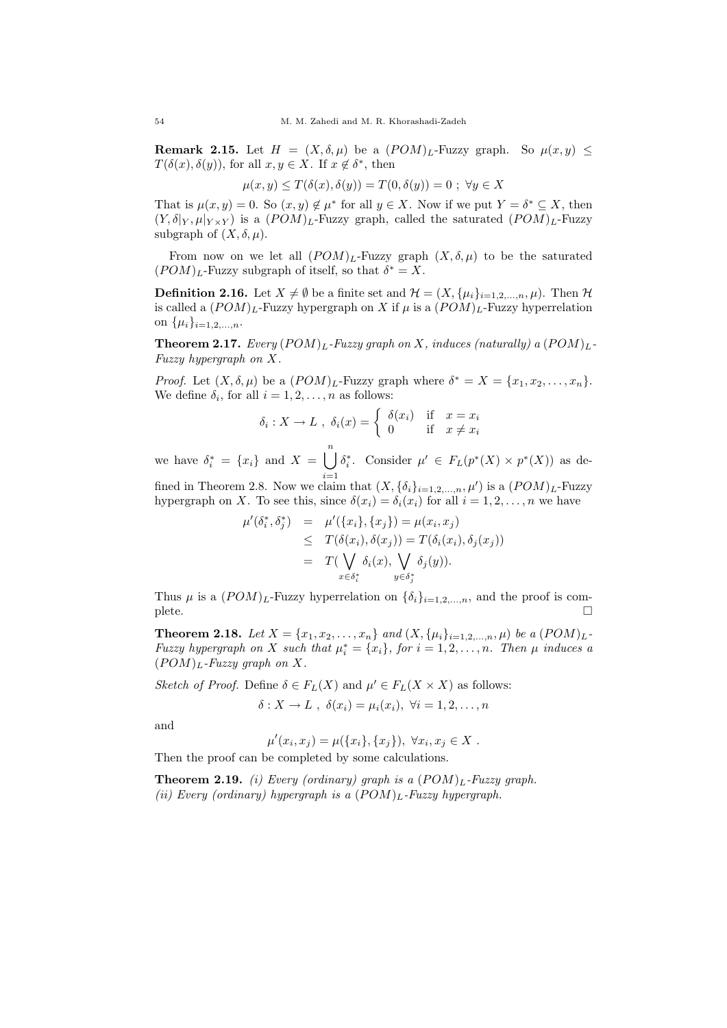**Remark 2.15.** Let  $H = (X, \delta, \mu)$  be a  $(POM)_L$ -Fuzzy graph. So  $\mu(x, y) \leq$  $T(\delta(x), \delta(y))$ , for all  $x, y \in X$ . If  $x \notin \delta^*$ , then

$$
\mu(x, y) \le T(\delta(x), \delta(y)) = T(0, \delta(y)) = 0 ; \ \forall y \in X
$$

That is  $\mu(x, y) = 0$ . So  $(x, y) \notin \mu^*$  for all  $y \in X$ . Now if we put  $Y = \delta^* \subseteq X$ , then  $(Y, \delta|_Y, \mu|_{Y \times Y})$  is a  $(POM)_L$ -Fuzzy graph, called the saturated  $(POM)_L$ -Fuzzy subgraph of  $(X, \delta, \mu)$ .

From now on we let all  $(POM)_L$ -Fuzzy graph  $(X, \delta, \mu)$  to be the saturated  $(POM)_L$ -Fuzzy subgraph of itself, so that  $\delta^* = X$ .

**Definition 2.16.** Let  $X \neq \emptyset$  be a finite set and  $\mathcal{H} = (X, {\mu_i}_{i=1,2,...,n}, \mu)$ . Then  $\mathcal{H}$ is called a  $(POM)_L$ -Fuzzy hypergraph on X if  $\mu$  is a  $(POM)_L$ -Fuzzy hyperrelation on  $\{\mu_i\}_{i=1,2,...,n}$ .

**Theorem 2.17.** Every  $(POM)_L$ -Fuzzy graph on X, induces (naturally) a  $(POM)_L$ -Fuzzy hypergraph on X.

*Proof.* Let  $(X, \delta, \mu)$  be a  $(POM)_L$ -Fuzzy graph where  $\delta^* = X = \{x_1, x_2, \ldots, x_n\}$ . We define  $\delta_i$ , for all  $i = 1, 2, \ldots, n$  as follows:

$$
\delta_i: X \to L \; , \; \delta_i(x) = \begin{cases} \delta(x_i) & \text{if } x = x_i \\ 0 & \text{if } x \neq x_i \end{cases}
$$

we have  $\delta_i^* = \{x_i\}$  and  $X = \bigcup^n$  $i=1$  $\delta_i^*$ . Consider  $\mu' \in F_L(p^*(X) \times p^*(X))$  as de-

fined in Theorem 2.8. Now we claim that  $(X, {\delta_i}_{i=1,2,...,n}, \mu')$  is a  $(POM)_L$ -Fuzzy hypergraph on X. To see this, since  $\delta(x_i) = \delta_i(x_i)$  for all  $i = 1, 2, \ldots, n$  we have

$$
\begin{array}{rcl}\n\mu'(\delta_i^*, \delta_j^*) & = & \mu'(\{x_i\}, \{x_j\}) = \mu(x_i, x_j) \\
& \leq & T(\delta(x_i), \delta(x_j)) = T(\delta_i(x_i), \delta_j(x_j)) \\
& = & T(\bigvee_{x \in \delta_i^*} \delta_i(x), \bigvee_{y \in \delta_j^*} \delta_j(y)).\n\end{array}
$$

Thus  $\mu$  is a  $(POM)_L$ -Fuzzy hyperrelation on  $\{\delta_i\}_{i=1,2,...,n}$ , and the proof is complete.  $\Box$ 

**Theorem 2.18.** Let  $X = \{x_1, x_2, ..., x_n\}$  and  $(X, \{\mu_i\}_{i=1,2,...,n}, \mu)$  be a  $(POM)_L$ -Fuzzy hypergraph on X such that  $\mu_i^* = \{x_i\}$ , for  $i = 1, 2, ..., n$ . Then  $\mu$  induces a  $(POM)_L$ -Fuzzy graph on X.

Sketch of Proof. Define  $\delta \in F_L(X)$  and  $\mu' \in F_L(X \times X)$  as follows:

 $\delta: X \to L$ ,  $\delta(x_i) = \mu_i(x_i)$ ,  $\forall i = 1, 2, \ldots, n$ 

and

$$
\mu'(x_i, x_j) = \mu(\{x_i\}, \{x_j\}), \ \forall x_i, x_j \in X.
$$

Then the proof can be completed by some calculations.

**Theorem 2.19.** (i) Every (ordinary) graph is a  $(POM)_L$ -Fuzzy graph. (ii) Every (ordinary) hypergraph is a  $(POM)_L$ -Fuzzy hypergraph.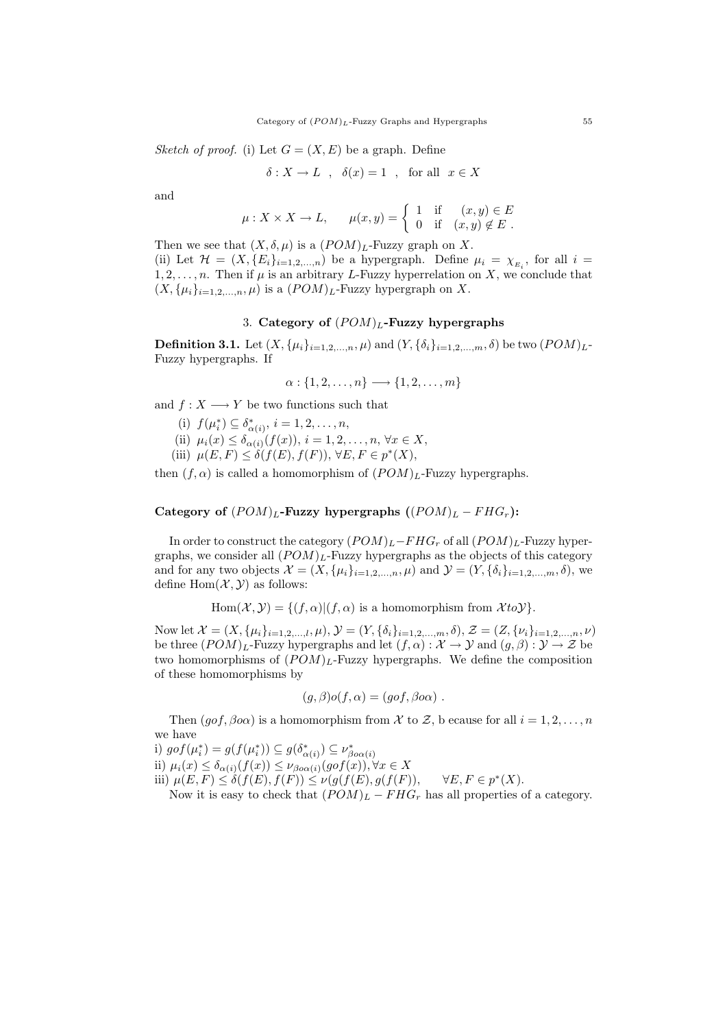Sketch of proof. (i) Let  $G = (X, E)$  be a graph. Define

$$
\delta: X \to L \quad , \quad \delta(x) = 1 \quad , \quad \text{for all} \quad x \in X
$$

and

$$
\mu: X \times X \to L, \qquad \mu(x, y) = \begin{cases} 1 & \text{if } (x, y) \in E \\ 0 & \text{if } (x, y) \notin E \end{cases}
$$

Then we see that  $(X, \delta, \mu)$  is a  $(POM)_L$ -Fuzzy graph on X. (ii) Let  $\mathcal{H} = (X, \{E_i\}_{i=1,2,...,n})$  be a hypergraph. Define  $\mu_i = \chi_{E_i}$ , for all  $i =$  $1, 2, \ldots, n$ . Then if  $\mu$  is an arbitrary L-Fuzzy hyperrelation on X, we conclude that  $(X, \{\mu_i\}_{i=1,2,\ldots,n}, \mu)$  is a  $(POM)_L$ -Fuzzy hypergraph on X.

# 3. Category of  $(POM)_L$ -Fuzzy hypergraphs

**Definition 3.1.** Let  $(X, \{\mu_i\}_{i=1,2,...,n}, \mu)$  and  $(Y, \{\delta_i\}_{i=1,2,...,m}, \delta)$  be two  $(POM)_L$ -Fuzzy hypergraphs. If

$$
\alpha: \{1, 2, \ldots, n\} \longrightarrow \{1, 2, \ldots, m\}
$$

and  $f: X \longrightarrow Y$  be two functions such that

- (i)  $f(\mu_i^*) \subseteq \delta_{\alpha(i)}^*, i = 1, 2, ..., n,$
- (ii)  $\mu_i(x) \leq \delta_{\alpha(i)}(f(x)), i = 1, 2, \ldots, n, \forall x \in X,$
- (iii)  $\mu(E, F) \leq \delta(f(E), f(F))$ ,  $\forall E, F \in p^*(X)$ ,

then  $(f, \alpha)$  is called a homomorphism of  $(POM)_L$ -Fuzzy hypergraphs.

## Category of  $(POM)_L$ -Fuzzy hypergraphs  $((POM)_L - FHG_r)$ :

In order to construct the category  $(POM)_L - FHG_r$  of all  $(POM)_L$ -Fuzzy hypergraphs, we consider all  $(POM)_L$ -Fuzzy hypergraphs as the objects of this category and for any two objects  $\mathcal{X} = (X, {\mu_i}_{i=1,2,\dots,n}, \mu)$  and  $\mathcal{Y} = (Y, {\delta_i}_{i=1,2,\dots,m}, \delta)$ , we define  $Hom(X, Y)$  as follows:

Hom
$$
(\mathcal{X}, \mathcal{Y}) = \{ (f, \alpha) | (f, \alpha) \text{ is a homomorphism from } \mathcal{X} \text{ to } \mathcal{Y} \}.
$$

Now let  $\mathcal{X} = (X, {\{\mu_i\}}_{i=1,2,...,l}, \mu), \mathcal{Y} = (Y, {\{\delta_i\}}_{i=1,2,...,m}, \delta), \mathcal{Z} = (Z, {\{\nu_i\}}_{i=1,2,...,n}, \nu)$ be three  $(POM)_L$ -Fuzzy hypergraphs and let  $(f, \alpha) : \mathcal{X} \to \mathcal{Y}$  and  $(g, \beta) : \mathcal{Y} \to \mathcal{Z}$  be two homomorphisms of  $(POM)_L$ -Fuzzy hypergraphs. We define the composition of these homomorphisms by

$$
(g,\beta)o(f,\alpha)=(gof,\beta o\alpha) .
$$

Then  $(gof, \beta oo)$  is a homomorphism from X to Z, b ecause for all  $i = 1, 2, ..., n$ we have

i)  $g \circ f(\mu_i^*) = g(f(\mu_i^*)) \subseteq g(\delta_{\alpha(i)}^*) \subseteq \nu_{\beta o \alpha(i)}^*$ ii)  $\mu_i(x) \leq \delta_{\alpha(i)}(f(x)) \leq \nu_{\beta o \alpha(i)}(g \circ f(x)), \forall x \in X$ iii)  $\mu(E, F) \leq \delta(f(E), f(F)) \leq \nu(g(f(E), g(f(F))),$  $^*(X).$ Now it is easy to check that  $(POM)_L - FHG_r$  has all properties of a category.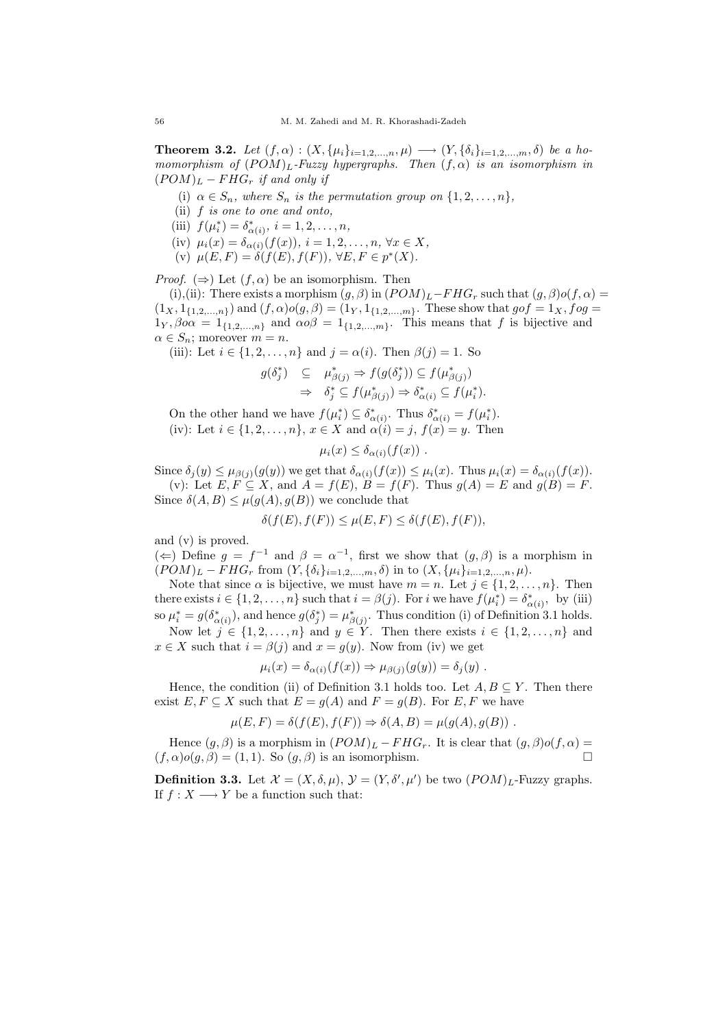**Theorem 3.2.** Let  $(f, \alpha) : (X, \{\mu_i\}_{i=1,2,...,n}, \mu) \longrightarrow (Y, \{\delta_i\}_{i=1,2,...,m}, \delta)$  be a homomorphism of  $(POM)_L$ -Fuzzy hypergraphs. Then  $(f, \alpha)$  is an isomorphism in  $(POM)_L - FHG_r$  if and only if

- (i)  $\alpha \in S_n$ , where  $S_n$  is the permutation group on  $\{1, 2, \ldots, n\}$ ,
- (ii) f is one to one and onto,
- (iii)  $f(\mu_i^*) = \delta_{\alpha(i)}^*, i = 1, 2, ..., n,$
- (iv)  $\mu_i(x) = \delta_{\alpha(i)}(f(x)), i = 1, 2, ..., n, \forall x \in X,$
- (v)  $\mu(E, F) = \delta(f(E), f(F)), \forall E, F \in p^*(X).$

*Proof.*  $(\Rightarrow)$  Let  $(f, \alpha)$  be an isomorphism. Then

(i),(ii): There exists a morphism  $(g, \beta)$  in  $(POM)_L$ −FHG<sub>r</sub> such that  $(g, \beta) o(f, \alpha)$  =  $(1_X, 1_{\{1,2,...,n\}})$  and  $(f, \alpha) o(g, \beta) = (1_Y, 1_{\{1,2,...,m\}})$ . These show that  $gof = 1_X, fog =$  $1_Y, \beta o \alpha = 1_{\{1,2,\dots,n\}}$  and  $\alpha o \beta = 1_{\{1,2,\dots,m\}}$ . This means that f is bijective and  $\alpha \in S_n$ ; moreover  $m = n$ .

(iii): Let  $i \in \{1, 2, \ldots, n\}$  and  $j = \alpha(i)$ . Then  $\beta(j) = 1$ . So

$$
\begin{array}{rcl}\ng(\delta_j^*) & \subseteq & \mu_{\beta(j)}^* \Rightarrow f(g(\delta_j^*)) \subseteq f(\mu_{\beta(j)}^*) \\
& \Rightarrow & \delta_j^* \subseteq f(\mu_{\beta(j)}^*) \Rightarrow \delta_{\alpha(i)}^* \subseteq f(\mu_i^*).\n\end{array}
$$

On the other hand we have  $f(\mu_i^*) \subseteq \delta_{\alpha(i)}^*$ . Thus  $\delta_{\alpha(i)}^* = f(\mu_i^*)$ . (iv): Let  $i \in \{1, 2, ..., n\}, x \in X$  and  $\alpha(i) = j, f(x) = y$ . Then

$$
\mu_i(x) \leq \delta_{\alpha(i)}(f(x)) \ .
$$

Since  $\delta_j(y) \leq \mu_{\beta(j)}(g(y))$  we get that  $\delta_{\alpha(i)}(f(x)) \leq \mu_i(x)$ . Thus  $\mu_i(x) = \delta_{\alpha(i)}(f(x))$ . (v): Let  $E, F \subseteq X$ , and  $A = f(E), B = f(F)$ . Thus  $g(A) = E$  and  $g(B) = F$ . Since  $\delta(A, B) \leq \mu(g(A), g(B))$  we conclude that

$$
\delta(f(E), f(F)) \le \mu(E, F) \le \delta(f(E), f(F)),
$$

and (v) is proved.

(←) Define  $g = f^{-1}$  and  $\beta = \alpha^{-1}$ , first we show that  $(g, \beta)$  is a morphism in  $(POM)_L - FHG_r$  from  $(Y, {\delta_i}_{i=1,2,...,m}, \delta)$  in to  $(X, {\mu_i}_{i=1,2,...,n}, \mu)$ .

Note that since  $\alpha$  is bijective, we must have  $m = n$ . Let  $j \in \{1, 2, ..., n\}$ . Then there exists  $i \in \{1, 2, ..., n\}$  such that  $i = \beta(j)$ . For i we have  $f(\mu_i^*) = \delta_{\alpha(i)}^*$ , by (iii) so  $\mu_i^* = g(\delta_{\alpha(i)}^*)$ , and hence  $g(\delta_j^*) = \mu_{\beta(j)}^*$ . Thus condition (i) of Definition 3.1 holds.

Now let  $j \in \{1, 2, ..., n\}$  and  $y \in Y$ . Then there exists  $i \in \{1, 2, ..., n\}$  and  $x \in X$  such that  $i = \beta(j)$  and  $x = g(y)$ . Now from (iv) we get

$$
\mu_i(x) = \delta_{\alpha(i)}(f(x)) \Rightarrow \mu_{\beta(j)}(g(y)) = \delta_j(y) .
$$

Hence, the condition (ii) of Definition 3.1 holds too. Let  $A, B \subseteq Y$ . Then there exist  $E, F \subseteq X$  such that  $E = q(A)$  and  $F = q(B)$ . For  $E, F$  we have

$$
\mu(E, F) = \delta(f(E), f(F)) \Rightarrow \delta(A, B) = \mu(g(A), g(B)) .
$$

Hence  $(g, \beta)$  is a morphism in  $(POM)_L - FHG_r$ . It is clear that  $(g, \beta)o(f, \alpha) =$  $(f, \alpha) o(g, \beta) = (1, 1)$ . So  $(g, \beta)$  is an isomorphism.

**Definition 3.3.** Let  $\mathcal{X} = (X, \delta, \mu), \mathcal{Y} = (Y, \delta', \mu')$  be two  $(POM)_L$ -Fuzzy graphs. If  $f: X \longrightarrow Y$  be a function such that: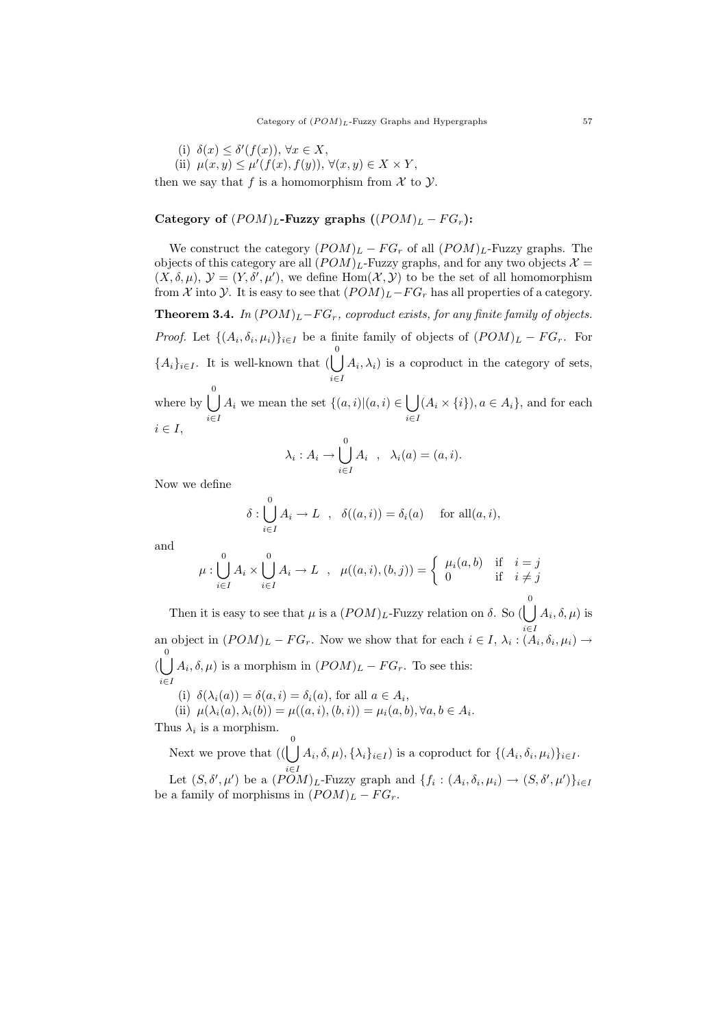(i)  $\delta(x) \leq \delta'(f(x))$ ,  $\forall x \in X$ , (ii)  $\mu(x, y) \leq \mu'(f(x), f(y)), \forall (x, y) \in X \times Y,$ then we say that f is a homomorphism from  $\mathcal X$  to  $\mathcal Y$ .

# Category of  $(POM)_L$ -Fuzzy graphs  $((POM)_L - FG_r)$ :

We construct the category  $(POM)_L - FG_r$  of all  $(POM)_L$ -Fuzzy graphs. The objects of this category are all  $(POM)_L$ -Fuzzy graphs, and for any two objects  $\mathcal{X} =$  $(X, \delta, \mu), Y = (Y, \delta', \mu'),$  we define Hom $(X, Y)$  to be the set of all homomorphism from X into y. It is easy to see that  $(POM)_L-FG_r$  has all properties of a category.

**Theorem 3.4.** In  $(POM)_L-FG_r$ , coproduct exists, for any finite family of objects. *Proof.* Let  $\{(A_i, \delta_i, \mu_i)\}_{i \in I}$  be a finite family of objects of  $(POM)_L - FG_r$ . For  ${A_i}_{i\in I}$ . It is well-known that  $\begin{pmatrix} 0 \\ \end{pmatrix}$ i∈I  $(A_i, \lambda_i)$  is a coproduct in the category of sets, where by  $\begin{bmatrix} 0 \\ 1 \end{bmatrix}$ 

i∈I  $A_i$  we mean the set  $\{(a,i)| (a,i) \in \mathcal{C}$ i∈I  $(A_i \times \{i\}), a \in A_i$ , and for each  $i \in I$ ,

$$
\lambda_i: A_i \to \bigcup_{i \in I}^0 A_i \quad , \quad \lambda_i(a) = (a, i).
$$

Now we define

$$
\delta: \bigcup_{i \in I}^{0} A_i \to L \quad , \quad \delta((a, i)) = \delta_i(a) \quad \text{ for all } (a, i),
$$

and

$$
\mu: \bigcup_{i \in I}^{0} A_i \times \bigcup_{i \in I}^{0} A_i \to L \; , \; \mu((a, i), (b, j)) = \begin{cases} \mu_i(a, b) & \text{if } i = j \\ 0 & \text{if } i \neq j \end{cases}
$$

Then it is easy to see that  $\mu$  is a  $(POM)_L$ -Fuzzy relation on  $\delta$ . So ( i∈I  $A_i, \delta, \mu$ ) is an object in  $(POM)_L - FG_r$ . Now we show that for each  $i \in I$ ,  $\lambda_i : (A_i, \delta_i, \mu_i) \to$  $(\bigcup A_i, \delta, \mu)$  is a morphism in  $(POM)_L - FG_r$ . To see this: i∈I (i)  $\delta(\lambda_i(a)) = \delta(a, i) = \delta_i(a)$ , for all  $a \in A_i$ , (ii)  $\mu(\lambda_i(a), \lambda_i(b)) = \mu((a, i), (b, i)) = \mu_i(a, b), \forall a, b \in A_i.$ 

Thus  $\lambda_i$  is a morphism.

Next we prove that  $\begin{pmatrix} 0 \\ 1 \end{pmatrix}$  $(A_i, \delta, \mu), \{\lambda_i\}_{i \in I}$  is a coproduct for  $\{(A_i, \delta_i, \mu_i)\}_{i \in I}$ .

Let  $(S, \delta', \mu')$  be a  $(POM)_L$ -Fuzzy graph and  $\{f_i : (A_i, \delta_i, \mu_i) \to (S, \delta', \mu')\}_{i \in I}$ be a family of morphisms in  $(POM)_L - FG_r$ .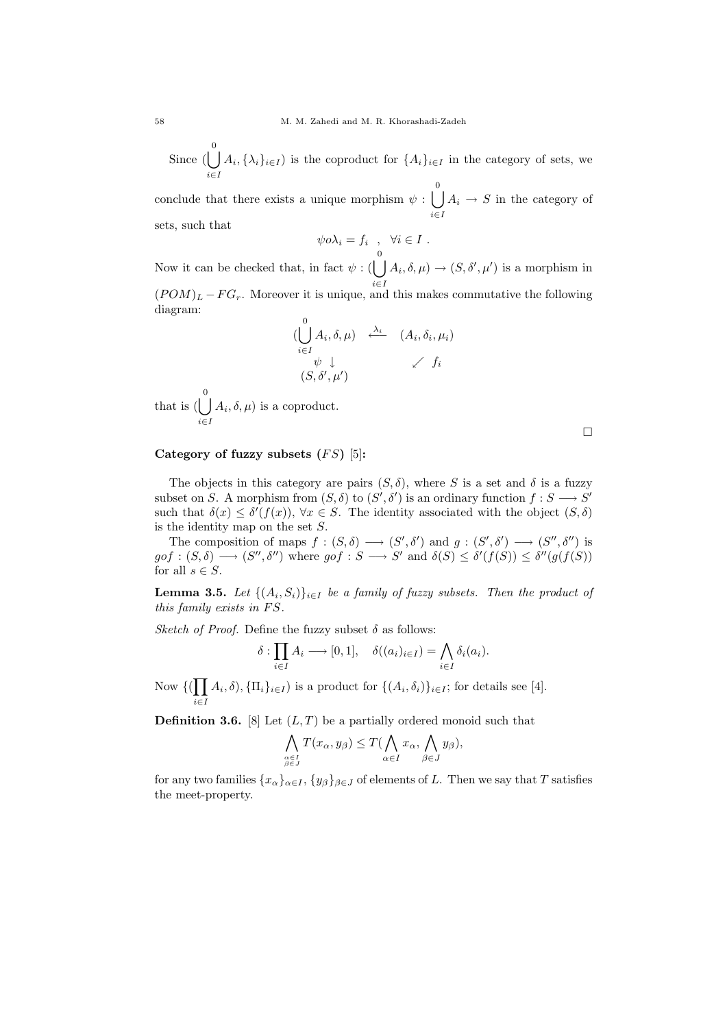Since  $\left(\begin{array}{c} 0 \\ 1 \end{array}\right)$ i∈I  $A_i, {\lambda_i}_{i\in I}$  is the coproduct for  ${A_i}_{i\in I}$  in the category of sets, we

conclude that there exists a unique morphism  $\psi : \bigcup_{n=1}^{\infty}$ i∈I  $A_i \rightarrow S$  in the category of sets, such that

$$
\psi o \lambda_i = f_i \quad , \quad \forall i \in I \ .
$$

Now it can be checked that, in fact  $\psi$  : ( i∈I  $A_i, \delta, \mu$   $\rightarrow$   $(S, \delta', \mu')$  is a morphism in  $(POM)_L - FG_r$ . Moreover it is unique, and this makes commutative the following diagram:

$$
\begin{array}{ccc}\n0 & \lambda_i, \delta, \mu) & \xleftarrow{\lambda_i} & (A_i, \delta_i, \mu_i) \\
\downarrow^{\psi} & \downarrow^{\psi} & \swarrow f_i \\
(S, \delta', \mu') & & \swarrow \end{array}
$$

that is  $\begin{pmatrix} 0 \\ 1 \end{pmatrix}$ i∈I  $(A_i, \delta, \mu)$  is a coproduct.

# Category of fuzzy subsets  $(FS)$  [5]:

The objects in this category are pairs  $(S, \delta)$ , where S is a set and  $\delta$  is a fuzzy subset on S. A morphism from  $(S, \delta)$  to  $(S', \delta')$  is an ordinary function  $f : S \longrightarrow S'$ such that  $\delta(x) \leq \delta'(f(x))$ ,  $\forall x \in S$ . The identity associated with the object  $(S, \delta)$ is the identity map on the set  $S$ .

The composition of maps  $f:(S,\delta) \longrightarrow (S',\delta')$  and  $g:(S',\delta') \longrightarrow (S'',\delta'')$  is  $g \circ f : (S, \delta) \longrightarrow (S'', \delta'')$  where  $g \circ f : S \longrightarrow S'$  and  $\delta(S) \leq \delta'(f(S)) \leq \delta''(g(f(S)))$ for all  $s \in S$ .

**Lemma 3.5.** Let  $\{(A_i, S_i)\}_{i \in I}$  be a family of fuzzy subsets. Then the product of this family exists in  $FS$ .

Sketch of Proof. Define the fuzzy subset  $\delta$  as follows:

$$
\delta: \prod_{i \in I} A_i \longrightarrow [0,1], \quad \delta((a_i)_{i \in I}) = \bigwedge_{i \in I} \delta_i(a_i).
$$

Now  $\{(\prod$ i∈I  $(A_i, \delta), \{\Pi_i\}_{i \in I}$  is a product for  $\{(A_i, \delta_i)\}_{i \in I}$ ; for details see [4].

**Definition 3.6.** [8] Let  $(L, T)$  be a partially ordered monoid such that

$$
\bigwedge_{\substack{\alpha \in I \\ \beta \in J}} T(x_{\alpha}, y_{\beta}) \leq T(\bigwedge_{\alpha \in I} x_{\alpha}, \bigwedge_{\beta \in J} y_{\beta}),
$$

for any two families  $\{x_\alpha\}_{\alpha \in I}$ ,  $\{y_\beta\}_{\beta \in J}$  of elements of L. Then we say that T satisfies the meet-property.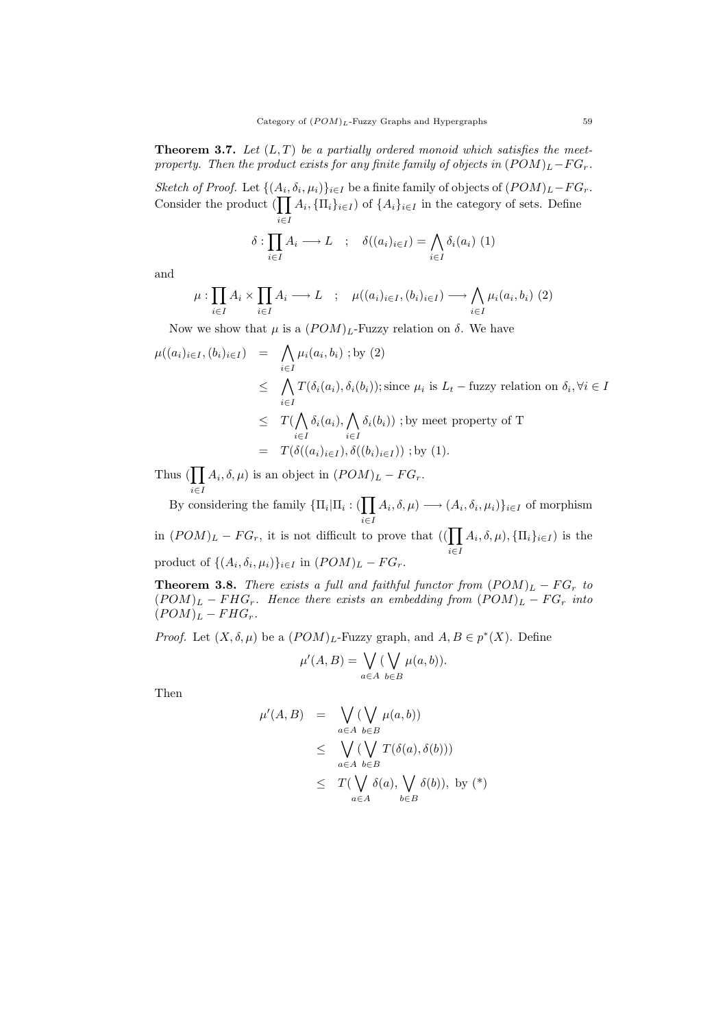**Theorem 3.7.** Let  $(L, T)$  be a partially ordered monoid which satisfies the meetproperty. Then the product exists for any finite family of objects in  $(POM)_L-FG_r$ .

Sketch of Proof. Let  $\{(A_i, \delta_i, \mu_i)\}_{i \in I}$  be a finite family of objects of  $(POM)_L-FG_r$ . Consider the product  $\left(\prod\right)$ i∈I  $A_i, {\Pi_i}_{i\in I}$  of  $\{A_i\}_{i\in I}$  in the category of sets. Define

$$
\delta: \prod_{i \in I} A_i \longrightarrow L \quad ; \quad \delta((a_i)_{i \in I}) = \bigwedge_{i \in I} \delta_i(a_i) \tag{1}
$$

and

$$
\mu: \prod_{i \in I} A_i \times \prod_{i \in I} A_i \longrightarrow L \quad ; \quad \mu((a_i)_{i \in I}, (b_i)_{i \in I}) \longrightarrow \bigwedge_{i \in I} \mu_i(a_i, b_i) \tag{2}
$$

Now we show that  $\mu$  is a  $(POM)_L$ -Fuzzy relation on  $\delta$ . We have

$$
\mu((a_i)_{i \in I}, (b_i)_{i \in I}) = \bigwedge_{i \in I} \mu_i(a_i, b_i) ; \text{by (2)}
$$
\n
$$
\leq \bigwedge_{i \in I} T(\delta_i(a_i), \delta_i(b_i)); \text{since } \mu_i \text{ is } L_t - \text{fuzzy relation on } \delta_i, \forall i \in I
$$
\n
$$
\leq T(\bigwedge_{i \in I} \delta_i(a_i), \bigwedge_{i \in I} \delta_i(b_i)) ; \text{by meet property of T}
$$
\n
$$
= T(\delta((a_i)_{i \in I}), \delta((b_i)_{i \in I})) ; \text{by (1)}.
$$

Thus  $(\prod A_i, \delta, \mu)$  is an object in  $(POM)_L - FG_r$ . i∈I

By considering the family  $\{\Pi_i | \Pi_i : (\prod_{i=1}^{n} \Pi_i\})$ i∈I  $(A_i, \delta, \mu) \longrightarrow (A_i, \delta_i, \mu_i) \}_{i \in I}$  of morphism in  $(POM)_L - FG_r$ , it is not difficult to prove that  $((\prod$ i∈I  $(A_i, \delta, \mu), \{\Pi_i\}_{i \in I})$  is the product of  $\{(A_i, \delta_i, \mu_i)\}_{i \in I}$  in  $(POM)_L - FG_r$ .

**Theorem 3.8.** There exists a full and faithful functor from  $(POM)_L - FG_r$  to  $(POM)_L - FHG_r$ . Hence there exists an embedding from  $(POM)_L - FG_r$  into  $(POM)_L - FHG_r.$ 

*Proof.* Let  $(X, \delta, \mu)$  be a  $(POM)_L$ -Fuzzy graph, and  $A, B \in p^*(X)$ . Define

$$
\mu'(A, B) = \bigvee_{a \in A} (\bigvee_{b \in B} \mu(a, b)).
$$

Then

$$
\mu'(A, B) = \bigvee_{a \in A} (\bigvee_{b \in B} \mu(a, b))
$$
  
\n
$$
\leq \bigvee_{a \in A} (\bigvee_{b \in B} T(\delta(a), \delta(b)))
$$
  
\n
$$
\leq T(\bigvee_{a \in A} \delta(a), \bigvee_{b \in B} \delta(b)), \text{ by (*)}
$$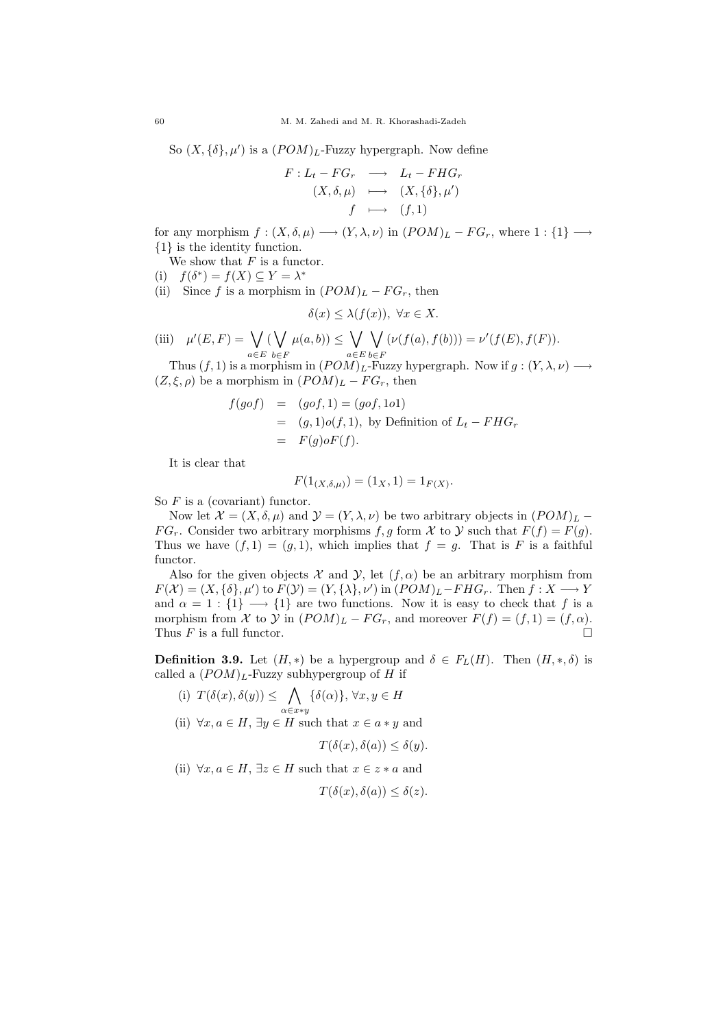So  $(X, {\delta}, \mu')$  is a  $(POM)_L$ -Fuzzy hypergraph. Now define

$$
F: L_t - FG_r \longrightarrow L_t - FHG_r
$$
  
\n
$$
(X, \delta, \mu) \longmapsto (X, {\delta}, \mu')
$$
  
\n
$$
f \longmapsto (f, 1)
$$

for any morphism  $f : (X, \delta, \mu) \longrightarrow (Y, \lambda, \nu)$  in  $(POM)_L - FG_r$ , where  $1 : \{1\} \longrightarrow$ {1} is the identity function.

We show that  $F$  is a functor.

(i)  $f(\delta^*) = f(X) \subseteq Y = \lambda^*$ 

(ii) Since f is a morphism in  $(POM)_L - FG_r$ , then

$$
\delta(x) \leq \lambda(f(x)), \ \forall x \in X.
$$

(iii) 
$$
\mu'(E, F) = \bigvee_{a \in E} (\bigvee_{b \in F} \mu(a, b)) \le \bigvee_{a \in E} \bigvee_{b \in F} (\nu(f(a), f(b))) = \nu'(f(E), f(F)).
$$

Thus  $(f, 1)$  is a morphism in  $(POM)_L$ -Fuzzy hypergraph. Now if  $g: (Y, \lambda, \nu) \longrightarrow$  $(Z, \xi, \rho)$  be a morphism in  $(POM)_L - FG_r$ , then

$$
f(gof) = (gof, 1) = (gof, 1o1)
$$
  
= 
$$
(g, 1)o(f, 1), \text{ by Definition of } L_t - FHG_r
$$
  
= 
$$
F(g)oF(f).
$$

It is clear that

$$
F(1_{(X,\delta,\mu)}) = (1_X,1) = 1_{F(X)}.
$$

So  $F$  is a (covariant) functor.

Now let  $\mathcal{X} = (X, \delta, \mu)$  and  $\mathcal{Y} = (Y, \lambda, \nu)$  be two arbitrary objects in  $(POM)_L$  –  $FG_r$ . Consider two arbitrary morphisms f, g form X to Y such that  $F(f) = F(g)$ . Thus we have  $(f, 1) = (g, 1)$ , which implies that  $f = g$ . That is F is a faithful functor.

Also for the given objects  $\mathcal X$  and  $\mathcal Y$ , let  $(f, \alpha)$  be an arbitrary morphism from  $F(\mathcal{X}) = (X, {\delta}, \mu')$  to  $F(\mathcal{Y}) = (Y, {\lambda}, \nu')$  in  $(POM)_L - FHG_r$ . Then  $f: X \longrightarrow Y$ and  $\alpha = 1 : \{1\} \longrightarrow \{1\}$  are two functions. Now it is easy to check that f is a morphism from X to Y in  $(POM)_L$  –  $FG_r$ , and moreover  $F(f) = (f, 1) = (f, \alpha)$ . Thus  $F$  is a full functor.

**Definition 3.9.** Let  $(H, *)$  be a hypergroup and  $\delta \in F_L(H)$ . Then  $(H, *, \delta)$  is called a  $(POM)_L$ -Fuzzy subhypergroup of H if

(i)  $T(\delta(x), \delta(y)) \leq \bigwedge {\delta(\alpha)}, \forall x, y \in H$ α∈x∗y (ii)  $\forall x, a \in H$ ,  $\exists y \in H$  such that  $x \in a * y$  and

 $T(\delta(x), \delta(a)) \leq \delta(y).$ 

(ii)  $\forall x, a \in H$ ,  $\exists z \in H$  such that  $x \in z * a$  and

 $T(\delta(x), \delta(a)) \leq \delta(z)$ .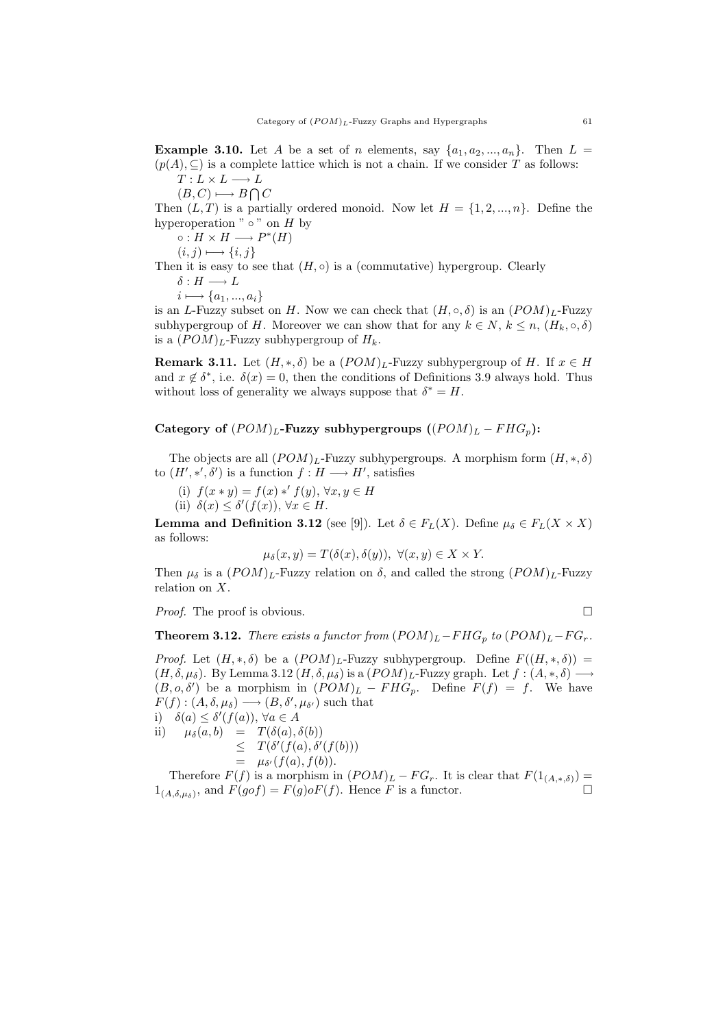**Example 3.10.** Let A be a set of n elements, say  $\{a_1, a_2, ..., a_n\}$ . Then  $L =$  $(p(A), \subseteq)$  is a complete lattice which is not a chain. If we consider T as follows:  $T: L \times L \longrightarrow L$ 

 $(B, C) \longmapsto B \bigcap C$ 

Then  $(L, T)$  is a partially ordered monoid. Now let  $H = \{1, 2, ..., n\}$ . Define the hyperoperation " $\circ$ " on H by

 $\circ: H \times H \longrightarrow P^*(H)$ 

$$
(i,j) \longmapsto \{i,j\}
$$

Then it is easy to see that  $(H, \circ)$  is a (commutative) hypergroup. Clearly

$$
\delta: H \longrightarrow L
$$

$$
i \longmapsto \{a_1, ..., a_i\}
$$

is an L-Fuzzy subset on H. Now we can check that  $(H, \circ, \delta)$  is an  $(POM)_L$ -Fuzzy subhypergroup of H. Moreover we can show that for any  $k \in N$ ,  $k \leq n$ ,  $(H_k, \circ, \delta)$ is a  $(POM)_L$ -Fuzzy subhypergroup of  $H_k$ .

**Remark 3.11.** Let  $(H, *, \delta)$  be a  $(POM)_L$ -Fuzzy subhypergroup of H. If  $x \in H$ and  $x \notin \delta^*$ , i.e.  $\delta(x) = 0$ , then the conditions of Definitions 3.9 always hold. Thus without loss of generality we always suppose that  $\delta^* = H$ .

# Category of  $(POM)_L$ -Fuzzy subhypergroups  $((POM)_L - FHG_p)$ :

The objects are all  $(POM)_L$ -Fuzzy subhypergroups. A morphism form  $(H, *, \delta)$ to  $(H', *, ', \delta')$  is a function  $f : H \longrightarrow H'$ , satisfies

- (i)  $f(x * y) = f(x) *' f(y), \forall x, y \in H$
- (ii)  $\delta(x) \leq \delta'(f(x))$ ,  $\forall x \in H$ .

**Lemma and Definition 3.12** (see [9]). Let  $\delta \in F_L(X)$ . Define  $\mu_{\delta} \in F_L(X \times X)$ as follows:

$$
\mu_{\delta}(x, y) = T(\delta(x), \delta(y)), \ \forall (x, y) \in X \times Y.
$$

Then  $\mu_{\delta}$  is a  $(POM)_{L}$ -Fuzzy relation on  $\delta$ , and called the strong  $(POM)_{L}$ -Fuzzy relation on X.

Proof. The proof is obvious.

$$
\mathbf{L}_{\mathbf{L}}
$$

**Theorem 3.12.** There exists a functor from  $(POM)_L - FHG_p$  to  $(POM)_L - FG_r$ .

*Proof.* Let  $(H, *, \delta)$  be a  $(POM)_L$ -Fuzzy subhypergroup. Define  $F((H, *, \delta))$  =  $(H, \delta, \mu_{\delta})$ . By Lemma 3.12  $(H, \delta, \mu_{\delta})$  is a  $(POM)_L$ -Fuzzy graph. Let  $f : (A, *, \delta) \longrightarrow$  $(B, o, \delta')$  be a morphism in  $(POM)_L$  –  $FHG_p$ . Define  $F(f) = f$ . We have  $F(f): (A, \delta, \mu_{\delta}) \longrightarrow (B, \delta', \mu_{\delta'})$  such that i)  $\delta(a) \leq \delta'(f(a))$ ,  $\forall a \in A$ 

ii)  $\mu_{\delta}(a, b) = T(\delta(a), \delta(b))$  $\leq T(\delta'(f(a),\delta'(f(b)))$  $=$   $\mu_{\delta'}(f(a), f(b)).$ 

Therefore  $F(f)$  is a morphism in  $(POM)_L - FG_r$ . It is clear that  $F(1_{(A,*,\delta)}) =$  $1_{(A,\delta,\mu_{\delta})}$ , and  $F(gof) = F(g)\circ F(f)$ . Hence F is a functor.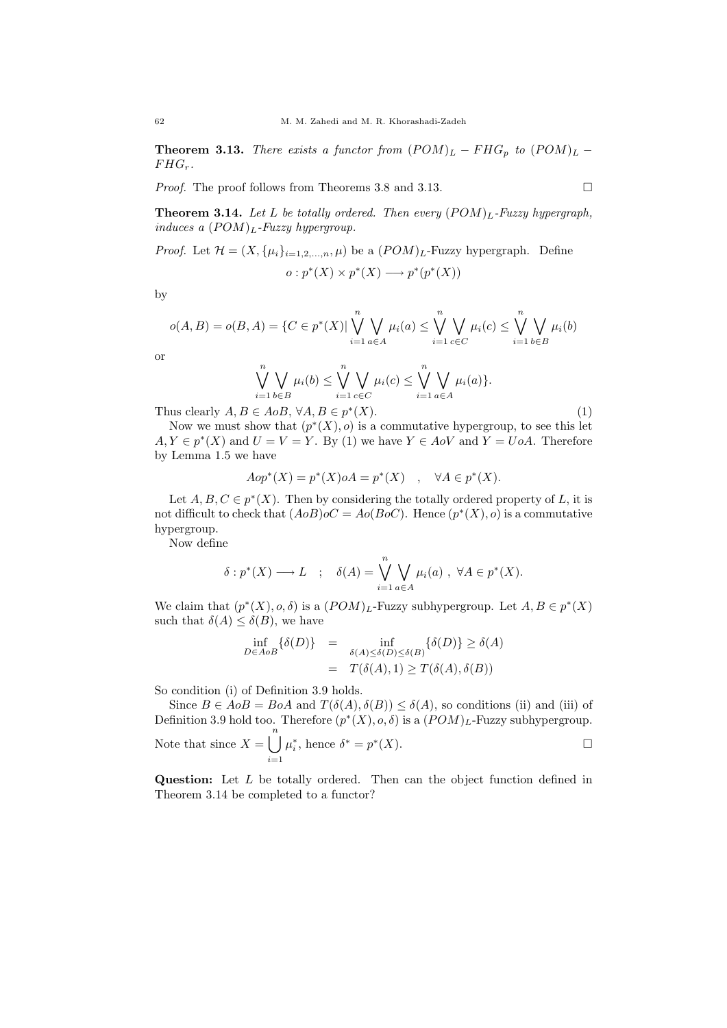**Theorem 3.13.** There exists a functor from  $(POM)_L - FHG_p$  to  $(POM)_L$  −  $F H G_r$ .

*Proof.* The proof follows from Theorems 3.8 and 3.13.

**Theorem 3.14.** Let L be totally ordered. Then every  $(POM)_L$ -Fuzzy hypergraph, induces a  $(POM)_L$ -Fuzzy hypergroup.

*Proof.* Let  $\mathcal{H} = (X, {\mu_i}_{i=1,2,...,n}, \mu)$  be a  $(POM)_L$ -Fuzzy hypergraph. Define

$$
o: p^*(X) \times p^*(X) \longrightarrow p^*(p^*(X))
$$

by

$$
o(A, B) = o(B, A) = \{C \in p^*(X) | \bigvee_{i=1}^n \bigvee_{a \in A} \mu_i(a) \le \bigvee_{i=1}^n \bigvee_{c \in C} \mu_i(c) \le \bigvee_{i=1}^n \bigvee_{b \in B} \mu_i(b)
$$

or

$$
\bigvee_{i=1}^{n} \bigvee_{b \in B} \mu_i(b) \leq \bigvee_{i=1}^{n} \bigvee_{c \in C} \mu_i(c) \leq \bigvee_{i=1}^{n} \bigvee_{a \in A} \mu_i(a) \}.
$$

Thus clearly  $A, B \in AoB$ ,  $\forall A, B \in p^*$ 

 $(X).$  (1) Now we must show that  $(p^*(X), o)$  is a commutative hypergroup, to see this let  $A, Y \in p^*(X)$  and  $U = V = Y$ . By (1) we have  $Y \in AoV$  and  $Y = UoA$ . Therefore by Lemma 1.5 we have

$$
Aop^*(X) = p^*(X)oA = p^*(X) \quad , \quad \forall A \in p^*(X).
$$

Let  $A, B, C \in p^*(X)$ . Then by considering the totally ordered property of L, it is not difficult to check that  $(A \circ B) \circ C = A \circ (B \circ C)$ . Hence  $(p^*(X), o)$  is a commutative hypergroup.

Now define

$$
\delta: p^*(X) \longrightarrow L \quad ; \quad \delta(A) = \bigvee_{i=1}^n \bigvee_{a \in A} \mu_i(a) \ , \ \forall A \in p^*(X).
$$

We claim that  $(p^*(X), o, \delta)$  is a  $(POM)_L$ -Fuzzy subhypergroup. Let  $A, B \in p^*(X)$ such that  $\delta(A) \leq \delta(B)$ , we have

$$
\inf_{D \in A \circ B} \{ \delta(D) \} = \inf_{\delta(A) \le \delta(D) \le \delta(B)} \{ \delta(D) \} \ge \delta(A)
$$
\n
$$
= T(\delta(A), 1) \ge T(\delta(A), \delta(B))
$$

So condition (i) of Definition 3.9 holds.

Since  $B \in AoB = BoA$  and  $T(\delta(A), \delta(B)) \leq \delta(A)$ , so conditions (ii) and (iii) of Definition 3.9 hold too. Therefore  $(p^*(X), o, \delta)$  is a  $(POM)_L$ -Fuzzy subhypergroup. Note that since  $X = \begin{bmatrix} n \\ n \end{bmatrix}$  $i=1$  $\mu_i^*$ , hence  $\delta^* = p^*(X)$ .

Question: Let L be totally ordered. Then can the object function defined in Theorem 3.14 be completed to a functor?